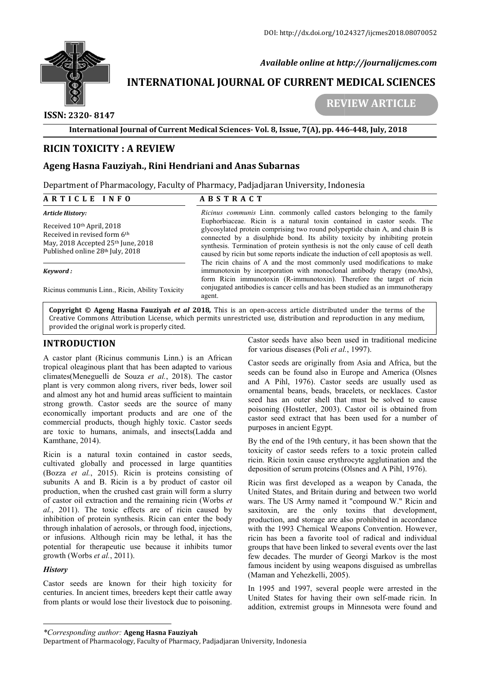

 *Available online at http://journalijcmes.com*

# **INTERNATIONAL JOURNAL OF CURRENT MEDICAL SCIENCES**<br>REVIEW ARTICLE

## **ISSN: 2320- 8147**

 **REVIEW** 

**International Journal of Current Medical Sciences Sciences- Vol. 8, Issue, 7(A), pp. 446**

# **RICIN TOXICITY : A REVIEW ICIN**

# **Ageng Hasna Fauziyah., Rini Hendriani and Anas Subarnas**

Department of Pharmacology, Faculty of Pharmacy, Padjadjaran University, Indonesia

#### **A R T I C L E I N F O**

# **A B S T R A C T**

*Article History:*  Received 10th April, 2018 Received in revised form 6th May, 2018 Accepted 25<sup>th</sup> June, 2018 Published online 28th July, 2018 *Ricinus communis* Linn. commonly called castors belonging to the family Euphorbiaceae. Ricin is a natural toxin contained in castor seeds. The glycosylated protein comprising two round polypeptide chain A, and chain B is connected by a disulphide bond. Its ability toxicity by inhibiting protein synthesis. Termination of protein synthesis is not the only cause of cell death caused by ricin but some reports indicate the induction of cell apoptosis as well. The ricin chains of A and the most commonly used modifications to make

#### *Keyword :*

Ricinus communis Linn., Ricin, Ability Toxicity

**Copyright © Ageng Hasna Fauziyah**  *et al* **2018***,* This is an open-access article distributed under the terms of the **Copyright © Ageng Hasna Fauziyah** *et al* **2018,** This is an open-access article distributed under the terms of the<br>Creative Commons Attribution License, which permits unrestricted use, distribution and reproduction in any provided the original work is properly cited. immunotoxin by incorporation with monoclonal antibody therapy (moAbs), form Ricin immunotoxin (R-immunotoxin). Therefore the target of ricin conjugated antibodies is cancer cells and has been studied as an immunotherapy ag incorporation with monoclonal antibody therapy (moAbs), unotoxin (R-immunotoxin). Therefore the target of ricin dies is cancer cells and has been studied as an immunotherapy pen-access article distributed under the terms o

# **INTRODUCTION**

A castor plant (Ricinus communis Linn.) is an African tropical oleaginous plant that has been adapted to various climates(Meneguelli de Souza *et al.*, 2018) 2018). The castor plant is very common along rivers, river beds, lower soil and almost any hot and humid areas sufficient to maintain strong growth. Castor seeds are the source of many economically important products and are one of the commercial products, though highly toxic. Castor seeds are toxic to humans, animals, and insects(Ladda and Kamthane, 2014). **DUCTION**<br>Castor seeds have also been used in traditional medicine<br>blant (Ricinus communis Linn.) is an African for various diseases (Poli *et al.*, 1997).<br>Castery equipling them that has been adapted to various castor se

Ricin is a natural toxin contained in castor seeds, cultivated globally and processed in large quantities (Bozza et al., 2015). Ricin is proteins consisting of subunits A and B. Ricin is a by product of castor oil production, when the crushed cast grain will form a slurry of castor oil extraction and the remaining ricin (Worbs *et al.*, 2011). The toxic effects are of ricin caused by inhibition of protein synthesis. Ricin can enter the body through inhalation of aerosols, or through food, injections, or infusions. Although ricin may be lethal, it has the potential for therapeutic use because it inhibits tumor growth (Worbs *et al.*, 2011).

#### *History*

Castor seeds are known for their high toxicity for centuries. In ancient times, breeders kept their cattle away from plants or would lose their livestock due to poisoning. for various diseases (Poli *et al.*

form Ricin immunotoxin (R-immunotoxin). Therefore the target of ricin conjugated antibodies is cancer cells and has been studied as an immunotherapy

mmunis Linn. commonly called castors belonging to the family ceae. Ricin is a natural toxin contained in castor seeds. The ed protein comprising two round polypeptide chain A, and chain B is by a disulphide bond. Its abili

Castor seeds are originally from Asia and Africa, but the Castor seeds are originally from Asia and Africa, but the seeds can be found also in Europe and America (Olsnes and A Pihl, 1976). Castor seeds are usually used as ornamental beans, beads, bracelets, or necklaces. Castor seed has an outer shell that must be solved to cause poisoning (Hostetler, 2003). Castor oil is obtained from castor seed extract that has been used for a number of purposes in ancient Egypt. Pihl, 1976). Castor seeds are usually used as ental beans, beads, bracelets, or necklaces. Castor as an outer shell that must be solved to cause ing (Hostetler, 2003). Castor oil is obtained from seed extract that has been

By the end of the 19th century, it has been shown that the toxicity of castor seeds refers to a toxic protein called ricin. Ricin toxin cause erythrocyte agglutination and the deposition of serum proteins (Olsnes and A Pihl, 1976)

Ricin was first developed as a weapon by Canada, the United States, and Britain during and between two world wars. The US Army named it "compound W." Ricin and saxitoxin, are the only toxins that development, production, and storage are also prohibited in accordance with the 1993 Chemical Weapons Convention. However, ricin has been a favorite tool of radical and individual groups that have been linked to several events few decades. The murder of Georgi Markov is the most famous incident by using weapons disguised as umbrellas (Maman and Yehezkelli, 2005) was first developed as a weapon by Canada, the d States, and Britain during and between two world The US Army named it "compound W." Ricin and win, are the only toxins that development, ection, and storage are also prohibi decades. The murder of Georgi Markov is<br>bus incident by using weapons disguised as<br>man and Yehezkelli, 2005). **i, Issue, 7(A), pp. 446-448, July, 2018**<br> **armas**<br> **an University, Indonesia**<br> **an University, Indonesia**<br> **commonly called castors belonging to the fam**<br> **an antural toxin contained in castor seeds.** The interprising two

In 1995 and 1997, several people were arrested in the In 1995 and 1997, several people were arrested in the United States for having their own self-made ricin. In addition, extremist groups in Minnesota were found and

*<sup>\*</sup>Corresponding author:* **Ageng Hasna Fauziyah**

Department of Pharmacology, Faculty of Pharmacy, Padjadjaran University, Indonesia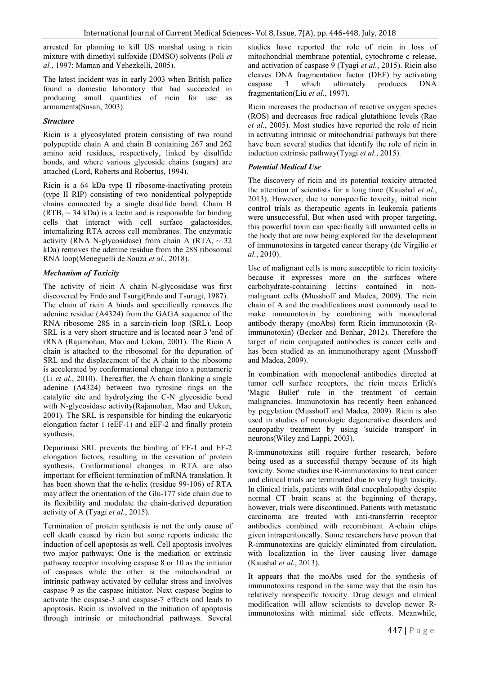arrested for planning to kill US marshal using a ricin mixture with dimethyl sulfoxide (DMSO) solvents (Poli *et al.*, 1997; Maman and Yehezkelli, 2005).

The latest incident was in early 2003 when British police found a domestic laboratory that had succeeded in producing small quantities of ricin for use as armaments(Susan, 2003).

#### *Structure*

Ricin is a glycosylated protein consisting of two round polypeptide chain A and chain B containing 267 and 262 amino acid residues, respectively, linked by disulfide bonds, and where various glycoside chains (sugars) are attached (Lord, Roberts and Robertus, 1994).

Ricin is a 64 kDa type II ribosome-inactivating protein (type II RIP) consisting of two nonidentical polypeptide chains connected by a single disulfide bond. Chain B  $(RTB, ~ 34 kDa)$  is a lectin and is responsible for binding cells that interact with cell surface galactosides, internalizing RTA across cell membranes. The enzymatic activity (RNA N-glycosidase) from chain A (RTA,  $\sim$  32 kDa) removes the adenine residue from the 28S ribosomal RNA loop(Meneguelli de Souza *et al.*, 2018).

#### *Mechanism of Toxicity*

The activity of ricin A chain N-glycosidase was first discovered by Endo and Tsurgi(Endo and Tsurugi, 1987).

The chain of ricin A binds and specifically removes the adenine residue (A4324) from the GAGA sequence of the RNA ribosome 28S in a sarcin-ricin loop (SRL). Loop SRL is a very short structure and is located near 3 'end of rRNA (Rajamohan, Mao and Uckun, 2001). The Ricin A chain is attached to the ribosomal for the depuration of SRL and the displacement of the A chain to the ribosome is accelerated by conformational change into a pentameric (Li *et al.*, 2010). Thereafter, the A chain flanking a single adenine (A4324) between two tyrosine rings on the catalytic site and hydrolyzing the C-N glycosidic bond with N-glycosidase activity(Rajamohan, Mao and Uckun, 2001). The SRL is responsible for binding the eukaryotic elongation factor 1 (eEF-1) and eEF-2 and finally protein synthesis.

Depurinasi SRL prevents the binding of EF-1 and EF-2 elongation factors, resulting in the cessation of protein synthesis. Conformational changes in RTA are also important for efficient termination of mRNA translation. It has been shown that the  $\alpha$ -helix (residue 99-106) of RTA may affect the orientation of the Glu-177 side chain due to its flexibility and modulate the chain-derived depuration activity of A (Tyagi *et al.*, 2015).

Termination of protein synthesis is not the only cause of cell death caused by ricin but some reports indicate the induction of cell apoptosis as well. Cell apoptosis involves two major pathways; One is the mediation or extrinsic pathway receptor involving caspase 8 or 10 as the initiator of caspases while the other is the mitochondrial or intrinsic pathway activated by cellular stress and involves caspase 9 as the caspase initiator. Next caspase begins to activate the caspase-3 and caspase-7 effects and leads to apoptosis. Ricin is involved in the initiation of apoptosis through intrinsic or mitochondrial pathways. Several

studies have reported the role of ricin in loss of mitochondrial membrane potential, cytochrome c release, and activation of caspase 9 (Tyagi *et al.*, 2015). Ricin also cleaves DNA fragmentation factor (DEF) by activating caspase 3 which ultimately produces DNA fragmentation(Liu *et al.*, 1997).

Ricin increases the production of reactive oxygen species (ROS) and decreases free radical glutathione levels (Rao *et al.*, 2005). Most studies have reported the role of ricin in activating intrinsic or mitochondrial pathways but there have been several studies that identify the role of ricin in induction extrinsic pathway(Tyagi *et al.*, 2015).

#### *Potential Medical Use*

The discovery of ricin and its potential toxicity attracted the attention of scientists for a long time (Kaushal *et al.*, 2013). However, due to nonspecific toxicity, initial ricin control trials as therapeutic agents in leukemia patients were unsuccessful. But when used with proper targeting, this powerful toxin can specifically kill unwanted cells in the body that are now being explored for the development of immunotoxins in targeted cancer therapy (de Virgilio *et al.*, 2010).

Use of malignant cells is more susceptible to ricin toxicity because it expresses more on the surfaces where carbohydrate-containing lectins contained in nonmalignant cells (Musshoff and Madea, 2009). The ricin chain of A and the modifications most commonly used to make immunotoxin by combining with monoclonal antibody therapy (moAbs) form Ricin immunotoxin (Rimmunotoxin) (Becker and Benhar, 2012). Therefore the target of ricin conjugated antibodies is cancer cells and has been studied as an immunotherapy agent (Musshoff and Madea, 2009).

In combination with monoclonal antibodies directed at tumor cell surface receptors, the ricin meets Erlich's 'Magic Bullet' rule in the treatment of certain malignancies. Immunotoxin has recently been enhanced by pegylation (Musshoff and Madea, 2009). Ricin is also used in studies of neurologic degenerative disorders and neuropathy treatment by using 'suicide transport' in neurons(Wiley and Lappi, 2003).

R-immunotoxins still require further research, before being used as a successful therapy because of its high toxicity. Some studies use R-immunotoxins to treat cancer and clinical trials are terminated due to very high toxicity. In clinical trials, patients with fatal encephalopathy despite normal CT brain scans at the beginning of therapy, however, trials were discontinued. Patients with metastatic carcinoma are treated with anti-transferrin receptor antibodies combined with recombinant A-chain chips given intraperitoneally. Some researchers have proven that R-immunotoxins are quickly eliminated from circulation, with localization in the liver causing liver damage (Kaushal *et al.*, 2013).

It appears that the moAbs used for the synthesis of immunotoxins respond in the same way that the risin has relatively nonspecific toxicity. Drug design and clinical modification will allow scientists to develop newer Rimmunotoxins with minimal side effects. Meanwhile,